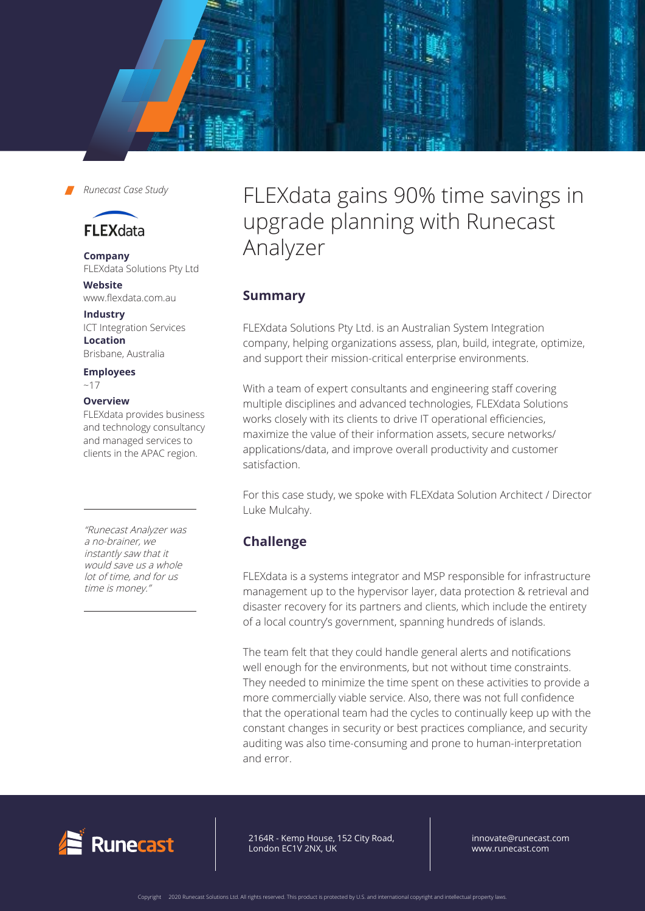



# **FLEXdata**

**Company** FLEXdata Solutions Pty Ltd

**Website** www.flexdata.com.au

**Industry** ICT Integration Services **Location** Brisbane, Australia

**Employees** 

 $~17$ 

#### **Overview**

FLEXdata provides business and technology consultancy and managed services to clients in the APAC region.

"Runecast Analyzer was a no-brainer, we instantly saw that it would save us a whole lot of time, and for us time is money."

FLEXdata gains 90% time savings in upgrade planning with Runecast Analyzer

## **Summary**

FLEXdata Solutions Pty Ltd. is an Australian System Integration company, helping organizations assess, plan, build, integrate, optimize, and support their mission-critical enterprise environments.

With a team of expert consultants and engineering staff covering multiple disciplines and advanced technologies, FLEXdata Solutions works closely with its clients to drive IT operational efficiencies, maximize the value of their information assets, secure networks/ applications/data, and improve overall productivity and customer satisfaction.

For this case study, we spoke with FLEXdata Solution Architect / Director Luke Mulcahy.

# **Challenge**

FLEXdata is a systems integrator and MSP responsible for infrastructure management up to the hypervisor layer, data protection & retrieval and disaster recovery for its partners and clients, which include the entirety of a local country's government, spanning hundreds of islands.

The team felt that they could handle general alerts and notifications well enough for the environments, but not without time constraints. They needed to minimize the time spent on these activities to provide a more commercially viable service. Also, there was not full confidence that the operational team had the cycles to continually keep up with the constant changes in security or best practices compliance, and security auditing was also time-consuming and prone to human-interpretation and error.



64R - Kemp House, 152 City Road, ndon EC1V 2NX, UK 2164R - Kemp House, 152 City Road, London EC1V 2NX, UK

innovate@runecast.com www.runecast.com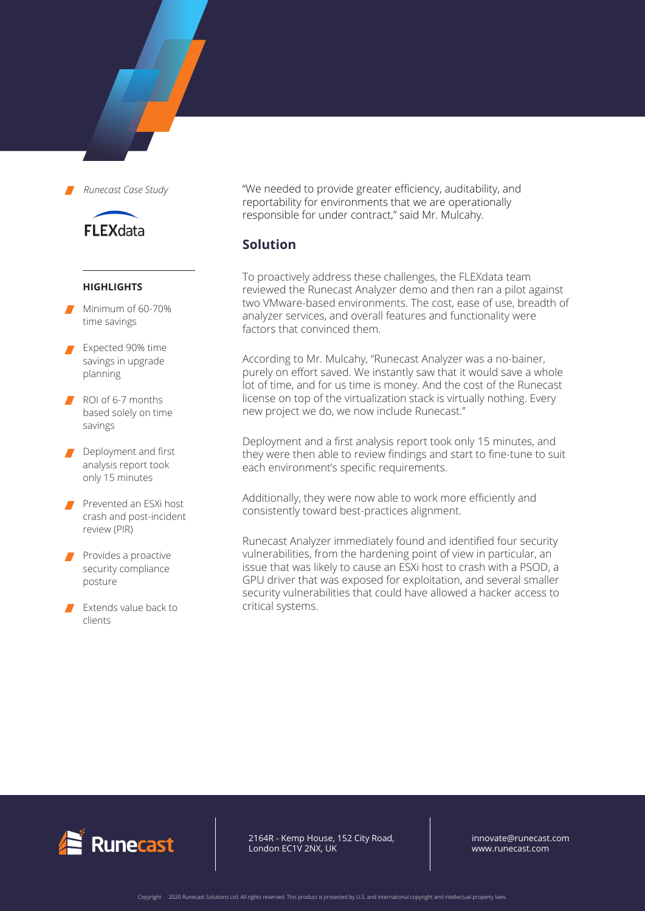

**FLEXdata** 

#### **HIGHLIGHTS**

- Minimum of 60-70% time savings
- Expected 90% time savings in upgrade planning
- ROI of 6-7 months based solely on time savings
- Deployment and first analysis report took only 15 minutes
- Prevented an ESXi host crash and post-incident review (PIR)
- Provides a proactive security compliance posture
- Extends value back to clients

"We needed to provide greater efficiency, auditability, and reportability for environments that we are operationally responsible for under contract," said Mr. Mulcahy.

### **Solution**

To proactively address these challenges, the FLEXdata team reviewed the Runecast Analyzer demo and then ran a pilot against two VMware-based environments. The cost, ease of use, breadth of analyzer services, and overall features and functionality were factors that convinced them.

According to Mr. Mulcahy, "Runecast Analyzer was a no-bainer, purely on effort saved. We instantly saw that it would save a whole lot of time, and for us time is money. And the cost of the Runecast license on top of the virtualization stack is virtually nothing. Every new project we do, we now include Runecast."

Deployment and a first analysis report took only 15 minutes, and they were then able to review findings and start to fine-tune to suit each environment's specific requirements.

Additionally, they were now able to work more efficiently and consistently toward best-practices alignment.

Runecast Analyzer immediately found and identified four security vulnerabilities, from the hardening point of view in particular, an issue that was likely to cause an ESXi host to crash with a PSOD, a GPU driver that was exposed for exploitation, and several smaller security vulnerabilities that could have allowed a hacker access to critical systems.



2164R - Kemp House, 152 City Road, London EC1V 2NX, UK

innovate@runecast.com www.runecast.com